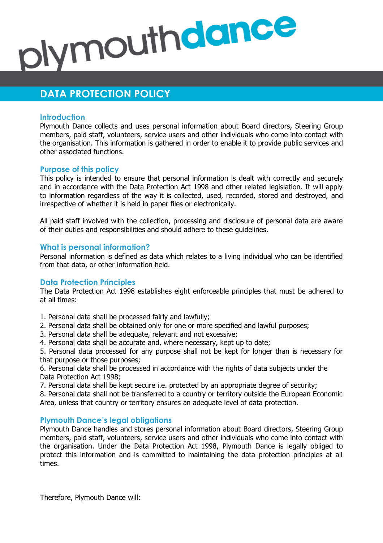# plymouthdance

# **DATA PROTECTION POLICY**

# **Introduction**

Plymouth Dance collects and uses personal information about Board directors, Steering Group members, paid staff, volunteers, service users and other individuals who come into contact with the organisation. This information is gathered in order to enable it to provide public services and other associated functions.

# **Purpose of this policy**

This policy is intended to ensure that personal information is dealt with correctly and securely and in accordance with the Data Protection Act 1998 and other related legislation. It will apply to information regardless of the way it is collected, used, recorded, stored and destroyed, and irrespective of whether it is held in paper files or electronically.

All paid staff involved with the collection, processing and disclosure of personal data are aware of their duties and responsibilities and should adhere to these guidelines.

#### **What is personal information?**

Personal information is defined as data which relates to a living individual who can be identified from that data, or other information held.

#### **Data Protection Principles**

The Data Protection Act 1998 establishes eight enforceable principles that must be adhered to at all times:

- 1. Personal data shall be processed fairly and lawfully;
- 2. Personal data shall be obtained only for one or more specified and lawful purposes;
- 3. Personal data shall be adequate, relevant and not excessive;
- 4. Personal data shall be accurate and, where necessary, kept up to date;

5. Personal data processed for any purpose shall not be kept for longer than is necessary for that purpose or those purposes;

6. Personal data shall be processed in accordance with the rights of data subjects under the Data Protection Act 1998;

7. Personal data shall be kept secure i.e. protected by an appropriate degree of security;

8. Personal data shall not be transferred to a country or territory outside the European Economic Area, unless that country or territory ensures an adequate level of data protection.

#### **Plymouth Dance's legal obligations**

Plymouth Dance handles and stores personal information about Board directors, Steering Group members, paid staff, volunteers, service users and other individuals who come into contact with the organisation. Under the Data Protection Act 1998, Plymouth Dance is legally obliged to protect this information and is committed to maintaining the data protection principles at all times.

Therefore, Plymouth Dance will: